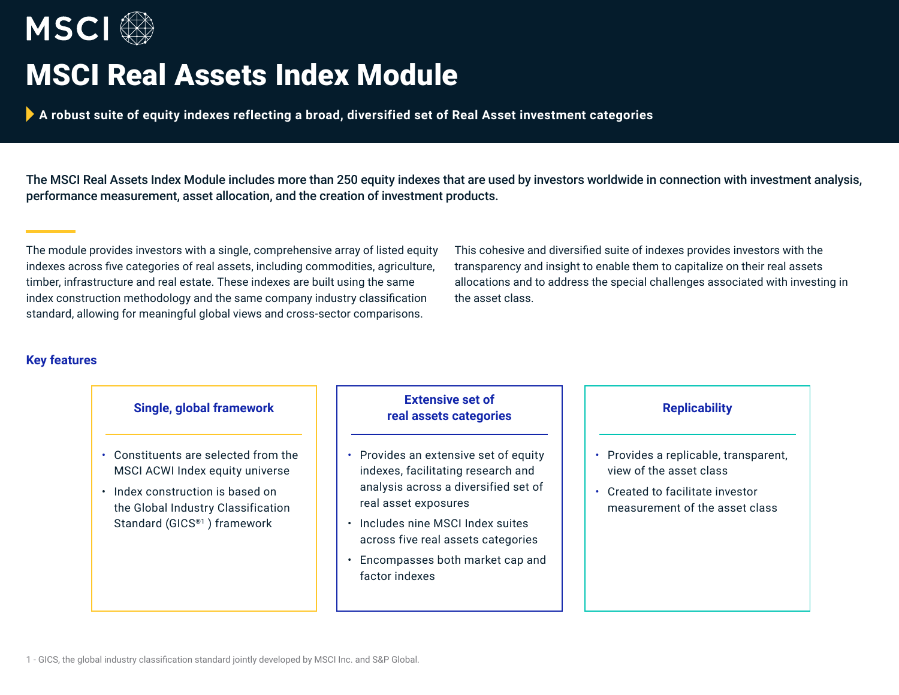

# MSCI Real Assets Index Module

**A robust suite of equity indexes reflecting a broad, diversified set of Real Asset investment categories**

The MSCI Real Assets Index Module includes more than 250 equity indexes that are used by investors worldwide in connection with investment analysis, performance measurement, asset allocation, and the creation of investment products.

The module provides investors with a single, comprehensive array of listed equity indexes across five categories of real assets, including commodities, agriculture, timber, infrastructure and real estate. These indexes are built using the same index construction methodology and the same company industry classification standard, allowing for meaningful global views and cross-sector comparisons.

This cohesive and diversified suite of indexes provides investors with the transparency and insight to enable them to capitalize on their real assets allocations and to address the special challenges associated with investing in the asset class.

# **Key features**

- Constituents are selected from the MSCI ACWI Index equity universe
- Index construction is based on the Global Industry Classification Standard (GICS®1 ) framework

# **Single, global framework Extensive set of real assets categories**

- Provides an extensive set of equity indexes, facilitating research and analysis across a diversified set of real asset exposures
- Includes nine MSCI Index suites across five real assets categories
- Encompasses both market cap and factor indexes

- Provides a replicable, transparent, view of the asset class
- Created to facilitate investor measurement of the asset class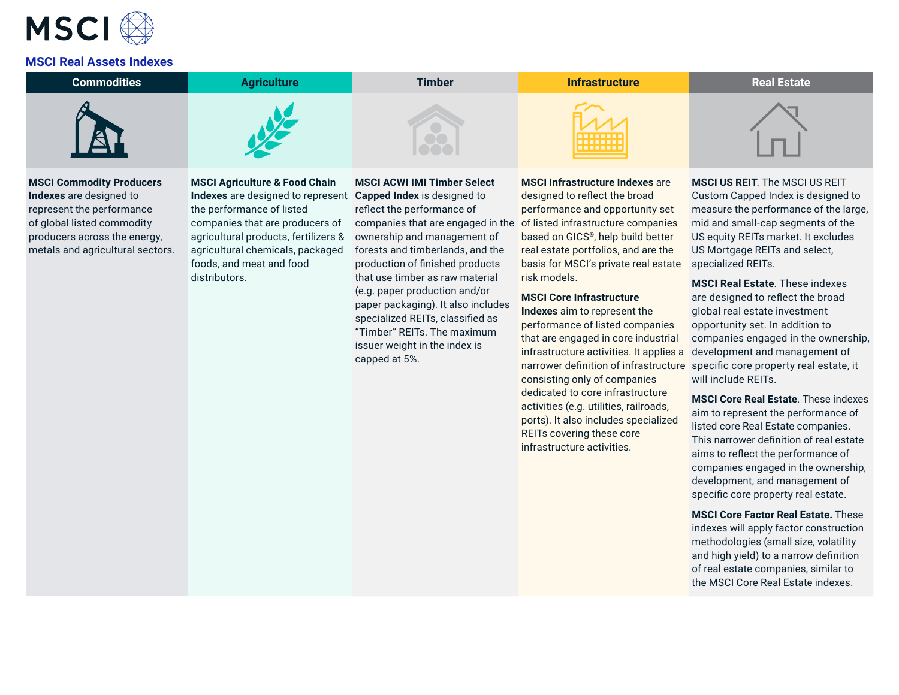

### **MSCI Real Assets Indexes**

| <b>Commodities</b>              | <b>Agriculture</b>                       | Timber                             | <b>Infrastructure</b>                          | <b>Real Estate</b>                    |
|---------------------------------|------------------------------------------|------------------------------------|------------------------------------------------|---------------------------------------|
|                                 |                                          |                                    | <b>.</b>                                       |                                       |
| <b>MSCI Commodity Producers</b> | <b>MSCI Agriculture &amp; Food Chain</b> | <b>MSCI ACWI IMI Timber Select</b> | <b>MSCI Infrastructure Indexes are</b>         | <b>MSCI US REIT.</b> The MSCI US REIT |
| Indexes are designed to         | Indexes are designed to represent        | <b>Capped Index is designed to</b> | designed to reflect the broad                  | Custom Capped Index is designed to    |
| represent the performance       | the performance of listed                | reflect the performance of         | performance and opportunity set                | measure the performance of the large, |
| of global listed commodity      | companies that are producers of          | companies that are engaged in the  | of listed infrastructure companies             | mid and small-cap segments of the     |
| producers across the energy.    | agricultural products, fertilizers &     | ownership and management of        | based on GICS <sup>®</sup> , help build better | US equity REITs market. It excludes   |

metals and agricultural sectors. agricultural chemicals, packaged foods, and meat and food distributors.

agricultural products, fertilizers & ownership and management of forests and timberlands, and the production of finished products that use timber as raw material (e.g. paper production and/or paper packaging). It also includes specialized REITs, classified as "Timber" REITs. The maximum issuer weight in the index is capped at 5%.

based on GICS®, help build better real estate portfolios, and are the basis for MSCI's private real estate risk models.

## **MSCI Core Infrastructure**

**Indexes** aim to represent the performance of listed companies that are engaged in core industrial infrastructure activities. It applies a consisting only of companies dedicated to core infrastructure activities (e.g. utilities, railroads, ports). It also includes specialized REITs covering these core infrastructure activities.

US equity REITs market. It excludes US Mortgage REITs and select, specialized REITs.

narrower definition of infrastructure specific core property real estate, it **MSCI Real Estate**. These indexes are designed to reflect the broad global real estate investment opportunity set. In addition to companies engaged in the ownership, development and management of will include REITs.

> **MSCI Core Real Estate**. These indexes aim to represent the performance of listed core Real Estate companies. This narrower definition of real estate aims to reflect the performance of companies engaged in the ownership, development, and management of specific core property real estate.

**MSCI Core Factor Real Estate.** These indexes will apply factor construction methodologies (small size, volatility and high yield) to a narrow definition of real estate companies, similar to the MSCI Core Real Estate indexes.